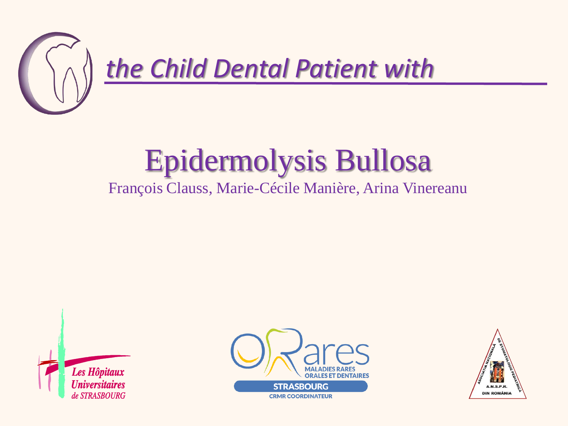

## Epidermolysis Bullosa

## François Clauss, Marie-Cécile Manière, Arina Vinereanu





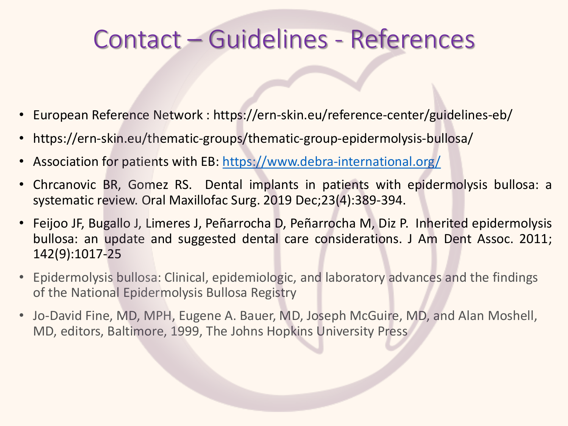## Contact – Guidelines - References

- European Reference Network : https://ern-skin.eu/reference-center/guidelines-eb/
- https://ern-skin.eu/thematic-groups/thematic-group-epidermolysis-bullosa/
- Association for patients with EB: <https://www.debra-international.org/>
- Chrcanovic BR, Gomez RS. Dental implants in patients with epidermolysis bullosa: a systematic review. Oral Maxillofac Surg. 2019 Dec;23(4):389-394.
- Feijoo JF, Bugallo J, Limeres J, Peñarrocha D, Peñarrocha M, Diz P. Inherited epidermolysis bullosa: an update and suggested dental care considerations. J Am Dent Assoc. 2011; 142(9):1017-25
- Epidermolysis bullosa: Clinical, epidemiologic, and laboratory advances and the findings of the National Epidermolysis Bullosa Registry
- Jo-David Fine, MD, MPH, Eugene A. Bauer, MD, Joseph McGuire, MD, and Alan Moshell, MD, editors, Baltimore, 1999, The Johns Hopkins University Press